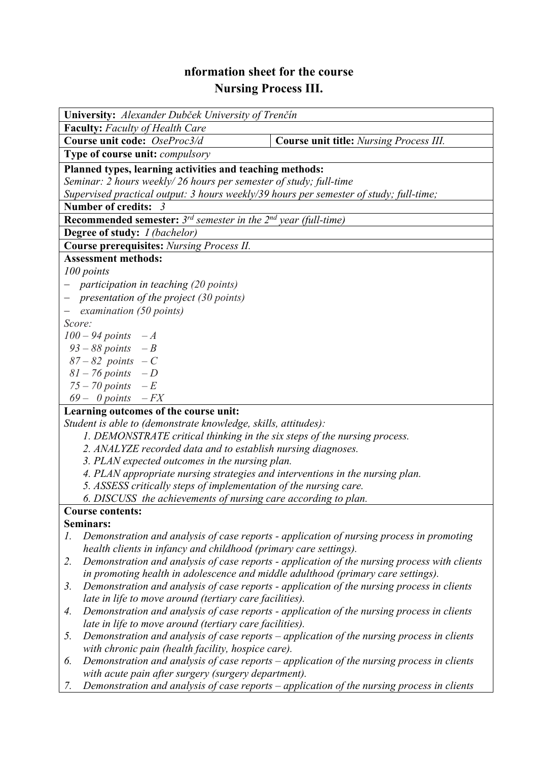## **nformation sheet for the course Nursing Process III.**

| University: Alexander Dubček University of Trenčín                                                                                                           |                                                                  |                                                                                              |  |  |  |  |  |
|--------------------------------------------------------------------------------------------------------------------------------------------------------------|------------------------------------------------------------------|----------------------------------------------------------------------------------------------|--|--|--|--|--|
| <b>Faculty:</b> Faculty of Health Care                                                                                                                       |                                                                  |                                                                                              |  |  |  |  |  |
| Course unit code: OseProc3/d                                                                                                                                 |                                                                  | Course unit title: Nursing Process III.                                                      |  |  |  |  |  |
| Type of course unit: <i>compulsory</i>                                                                                                                       |                                                                  |                                                                                              |  |  |  |  |  |
| Planned types, learning activities and teaching methods:                                                                                                     |                                                                  |                                                                                              |  |  |  |  |  |
|                                                                                                                                                              |                                                                  |                                                                                              |  |  |  |  |  |
| Seminar: 2 hours weekly/ 26 hours per semester of study; full-time<br>Supervised practical output: 3 hours weekly/39 hours per semester of study; full-time; |                                                                  |                                                                                              |  |  |  |  |  |
|                                                                                                                                                              |                                                                  |                                                                                              |  |  |  |  |  |
| Number of credits: 3                                                                                                                                         |                                                                  |                                                                                              |  |  |  |  |  |
| <b>Recommended semester:</b> $3^{rd}$ semester in the $2^{nd}$ year (full-time)                                                                              |                                                                  |                                                                                              |  |  |  |  |  |
| Degree of study: I (bachelor)                                                                                                                                |                                                                  |                                                                                              |  |  |  |  |  |
| <b>Course prerequisites:</b> Nursing Process II.                                                                                                             |                                                                  |                                                                                              |  |  |  |  |  |
| <b>Assessment methods:</b>                                                                                                                                   |                                                                  |                                                                                              |  |  |  |  |  |
| 100 points                                                                                                                                                   |                                                                  |                                                                                              |  |  |  |  |  |
| - participation in teaching (20 points)                                                                                                                      |                                                                  |                                                                                              |  |  |  |  |  |
| - presentation of the project $(30 \text{ points})$                                                                                                          |                                                                  |                                                                                              |  |  |  |  |  |
| examination (50 points)                                                                                                                                      |                                                                  |                                                                                              |  |  |  |  |  |
| Score:                                                                                                                                                       |                                                                  |                                                                                              |  |  |  |  |  |
| $100 - 94$ points $-A$                                                                                                                                       |                                                                  |                                                                                              |  |  |  |  |  |
| $93 - 88$ points $-B$                                                                                                                                        |                                                                  |                                                                                              |  |  |  |  |  |
| $87 - 82$ points $-C$                                                                                                                                        |                                                                  |                                                                                              |  |  |  |  |  |
| $81 - 76$ points $-D$                                                                                                                                        |                                                                  |                                                                                              |  |  |  |  |  |
| $75-70$ points $-E$                                                                                                                                          |                                                                  |                                                                                              |  |  |  |  |  |
| $69 - 0$ points $-FX$                                                                                                                                        |                                                                  |                                                                                              |  |  |  |  |  |
|                                                                                                                                                              | Learning outcomes of the course unit:                            |                                                                                              |  |  |  |  |  |
| Student is able to (demonstrate knowledge, skills, attitudes):                                                                                               |                                                                  |                                                                                              |  |  |  |  |  |
| 1. DEMONSTRATE critical thinking in the six steps of the nursing process.                                                                                    |                                                                  |                                                                                              |  |  |  |  |  |
|                                                                                                                                                              | 2. ANALYZE recorded data and to establish nursing diagnoses.     |                                                                                              |  |  |  |  |  |
| 3. PLAN expected outcomes in the nursing plan.                                                                                                               |                                                                  |                                                                                              |  |  |  |  |  |
| 4. PLAN appropriate nursing strategies and interventions in the nursing plan.                                                                                |                                                                  |                                                                                              |  |  |  |  |  |
| 5. ASSESS critically steps of implementation of the nursing care.                                                                                            |                                                                  |                                                                                              |  |  |  |  |  |
|                                                                                                                                                              | 6. DISCUSS the achievements of nursing care according to plan.   |                                                                                              |  |  |  |  |  |
| <b>Course contents:</b>                                                                                                                                      |                                                                  |                                                                                              |  |  |  |  |  |
| Seminars:                                                                                                                                                    |                                                                  |                                                                                              |  |  |  |  |  |
| 1.                                                                                                                                                           |                                                                  | Demonstration and analysis of case reports - application of nursing process in promoting     |  |  |  |  |  |
|                                                                                                                                                              | health clients in infancy and childhood (primary care settings). |                                                                                              |  |  |  |  |  |
| 2.                                                                                                                                                           |                                                                  | Demonstration and analysis of case reports - application of the nursing process with clients |  |  |  |  |  |
|                                                                                                                                                              |                                                                  | in promoting health in adolescence and middle adulthood (primary care settings).             |  |  |  |  |  |
| 3.                                                                                                                                                           |                                                                  | Demonstration and analysis of case reports - application of the nursing process in clients   |  |  |  |  |  |
|                                                                                                                                                              | late in life to move around (tertiary care facilities).          |                                                                                              |  |  |  |  |  |
| 4.                                                                                                                                                           |                                                                  | Demonstration and analysis of case reports - application of the nursing process in clients   |  |  |  |  |  |
|                                                                                                                                                              | late in life to move around (tertiary care facilities).          |                                                                                              |  |  |  |  |  |
| 5.                                                                                                                                                           |                                                                  | Demonstration and analysis of case reports – application of the nursing process in clients   |  |  |  |  |  |
|                                                                                                                                                              | with chronic pain (health facility, hospice care).               |                                                                                              |  |  |  |  |  |
| 6.                                                                                                                                                           |                                                                  | Demonstration and analysis of case reports $-$ application of the nursing process in clients |  |  |  |  |  |
|                                                                                                                                                              | with acute pain after surgery (surgery department).              |                                                                                              |  |  |  |  |  |
| 7.                                                                                                                                                           |                                                                  | Demonstration and analysis of case reports - application of the nursing process in clients   |  |  |  |  |  |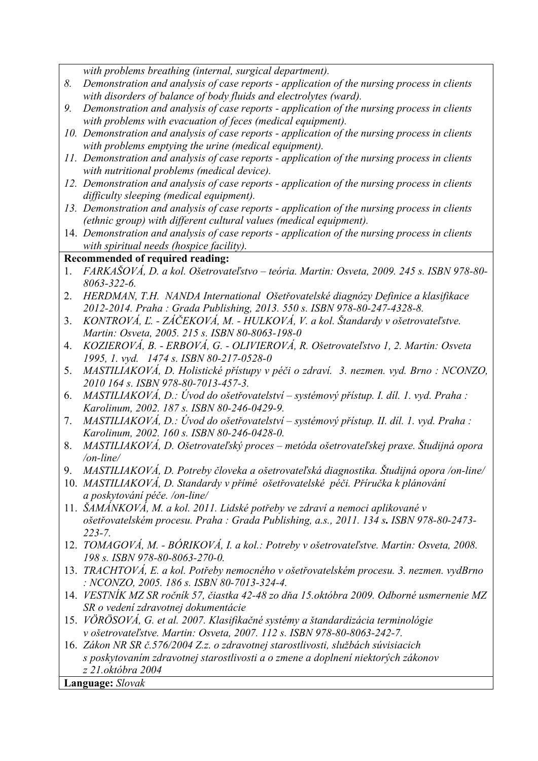*with problems breathing (internal, surgical department).* 

- *8. Demonstration and analysis of case reports application of the nursing process in clients with disorders of balance of body fluids and electrolytes (ward).*
- *9. Demonstration and analysis of case reports application of the nursing process in clients with problems with evacuation of feces (medical equipment).*
- *10. Demonstration and analysis of case reports application of the nursing process in clients with problems emptying the urine (medical equipment).*
- *11. Demonstration and analysis of case reports application of the nursing process in clients with nutritional problems (medical device).*
- *12. Demonstration and analysis of case reports application of the nursing process in clients difficulty sleeping (medical equipment).*
- *13. Demonstration and analysis of case reports application of the nursing process in clients (ethnic group) with different cultural values (medical equipment).*
- 14. *Demonstration and analysis of case reports application of the nursing process in clients with spiritual needs (hospice facility).*

## **Recommended of required reading:**

- 1. *FARKAŠOVÁ, D. a kol. Ošetrovateľstvo teória. Martin: Osveta, 2009. 245 s. ISBN 978-80- 8063-322-6.*
- 2. *HERDMAN, T.H. NANDA International Ošetřovatelské diagnózy Definice a klasifikace 2012-2014. Praha : Grada Publishing, 2013. 550 s. ISBN 978-80-247-4328-8.*
- 3. *KONTROVÁ, Ľ. ZÁČEKOVÁ, M. HULKOVÁ, V. a kol. Štandardy v ošetrovateľstve. Martin: Osveta, 2005. 215 s. ISBN 80-8063-198-0*
- 4. *KOZIEROVÁ, B. ERBOVÁ, G. OLIVIEROVÁ, R. Ošetrovateľstvo 1, 2. Martin: Osveta 1995, 1. vyd. 1474 s. ISBN 80-217-0528-0*
- 5. *MASTILIAKOVÁ, D. Holistické přístupy v péči o zdraví. 3. nezmen. vyd. Brno : NCONZO, 2010 164 s. ISBN 978-80-7013-457-3.*
- 6. *MASTILIAKOVÁ, D.: Úvod do ošetřovatelství systémový přístup. I. díl. 1. vyd. Praha : Karolinum, 2002. 187 s. ISBN 80-246-0429-9.*
- 7. *MASTILIAKOVÁ, D.: Úvod do ošetřovatelství systémový přístup. II. díl. 1. vyd. Praha : Karolinum, 2002. 160 s. ISBN 80-246-0428-0.*
- 8. *MASTILIAKOVÁ, D. Ošetrovateľský proces metóda ošetrovateľskej praxe. Študijná opora /on-line/*
- 9. *MASTILIAKOVÁ, D. Potreby človeka a ošetrovateľská diagnostika. Študijná opora /on-line/*
- 10. *MASTILIAKOVÁ, D. Standardy v přímé ošetřovatelské péči. Příručka k plánování a poskytování péče. /on-line/*
- 11. *ŠAMÁNKOVÁ, M. a kol. 2011. Lidské potřeby ve zdraví a nemoci aplikované v ošetřovatelském procesu. Praha : Grada Publishing, a.s., 2011. 134 s. ISBN 978-80-2473- 223-7.*
- 12. *TOMAGOVÁ, M. BÓRIKOVÁ, I. a kol.: Potreby v ošetrovateľstve. Martin: Osveta, 2008. 198 s. ISBN 978-80-8063-270-0.*
- 13. *TRACHTOVÁ, E. a kol. Potřeby nemocného v ošetřovatelském procesu. 3. nezmen. vydBrno : NCONZO, 2005. 186 s. ISBN 80-7013-324-4.*
- 14. *VESTNÍK MZ SR ročník 57, čiastka 42-48 zo dňa 15.októbra 2009. Odborné usmernenie MZ SR o vedení zdravotnej dokumentácie*
- 15. *VÖRÖSOVÁ, G. et al. 2007. Klasifikačné systémy a štandardizácia terminológie v ošetrovateľstve. Martin: Osveta, 2007. 112 s. ISBN 978-80-8063-242-7.*
- 16. *Zákon NR SR č.576/2004 Z.z. o zdravotnej starostlivosti, službách súvisiacich s poskytovaním zdravotnej starostlivosti a o zmene a doplnení niektorých zákonov z 21.októbra 2004*

**Language:** *Slovak*